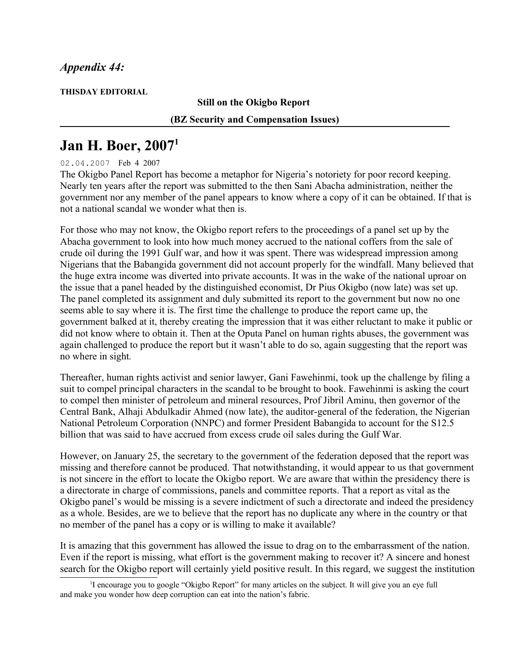## *Appendix 44:*

**THISDAY EDITORIAL**

## **Still on the Okigbo Report**

## **(BZ Security and Compensation Issues)**

## **Jan H. Boer, 2007[1](#page-0-0)**

02.04.2007 Feb 4 2007

The Okigbo Panel Report has become a metaphor for Nigeria's notoriety for poor record keeping. Nearly ten years after the report was submitted to the then Sani Abacha administration, neither the government nor any member of the panel appears to know where a copy of it can be obtained. If that is not a national scandal we wonder what then is.

For those who may not know, the Okigbo report refers to the proceedings of a panel set up by the Abacha government to look into how much money accrued to the national coffers from the sale of crude oil during the 1991 Gulf war, and how it was spent. There was widespread impression among Nigerians that the Babangida government did not account properly for the windfall. Many believed that the huge extra income was diverted into private accounts. It was in the wake of the national uproar on the issue that a panel headed by the distinguished economist, Dr Pius Okigbo (now late) was set up. The panel completed its assignment and duly submitted its report to the government but now no one seems able to say where it is. The first time the challenge to produce the report came up, the government balked at it, thereby creating the impression that it was either reluctant to make it public or did not know where to obtain it. Then at the Oputa Panel on human rights abuses, the government was again challenged to produce the report but it wasn't able to do so, again suggesting that the report was no where in sight*.*

Thereafter, human rights activist and senior lawyer, Gani Fawehinmi, took up the challenge by filing a suit to compel principal characters in the scandal to be brought to book. Fawehinmi is asking the court to compel then minister of petroleum and mineral resources, Prof Jibril Aminu, then governor of the Central Bank, Alhaji Abdulkadir Ahmed (now late), the auditor-general of the federation, the Nigerian National Petroleum Corporation (NNPC) and former President Babangida to account for the S12.5 billion that was said to have accrued from excess crude oil sales during the Gulf War.

However, on January 25, the secretary to the government of the federation deposed that the report was missing and therefore cannot be produced. That notwithstanding, it would appear to us that government is not sincere in the effort to locate the Okigbo report. We are aware that within the presidency there is a directorate in charge of commissions, panels and committee reports. That a report as vital as the Okigbo panel's would be missing is a severe indictment of such a directorate and indeed the presidency as a whole. Besides, are we to believe that the report has no duplicate any where in the country or that no member of the panel has a copy or is willing to make it available?

It is amazing that this government has allowed the issue to drag on to the embarrassment of the nation. Even if the report is missing, what effort is the government making to recover it? A sincere and honest search for the Okigbo report will certainly yield positive result. In this regard, we suggest the institution

<span id="page-0-0"></span><sup>&</sup>lt;sup>1</sup>I encourage you to google "Okigbo Report" for many articles on the subject. It will give you an eye full and make you wonder how deep corruption can eat into the nation's fabric.